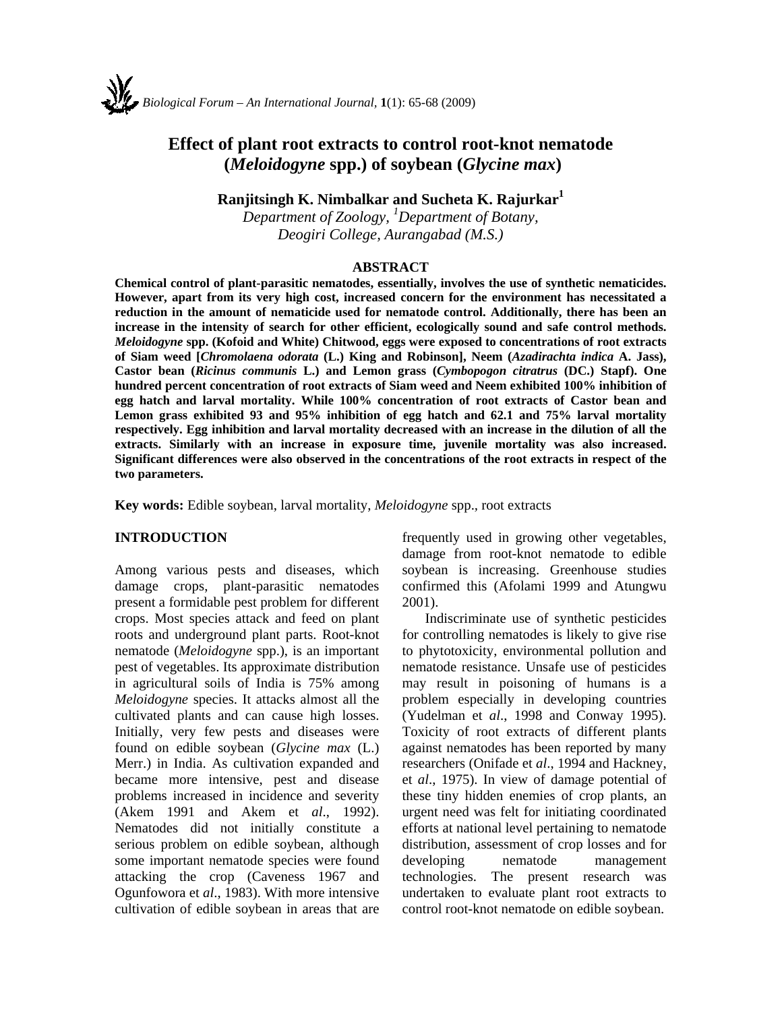# **Effect of plant root extracts to control root-knot nematode (***Meloidogyne* **spp.) of soybean (***Glycine max***)**

**Ranjitsingh K. Nimbalkar and Sucheta K. Rajurkar<sup>1</sup>**

*Department of Zoology, 1 Department of Botany, Deogiri College, Aurangabad (M.S.)* 

#### **ABSTRACT**

**Chemical control of plant-parasitic nematodes, essentially, involves the use of synthetic nematicides. However, apart from its very high cost, increased concern for the environment has necessitated a reduction in the amount of nematicide used for nematode control. Additionally, there has been an increase in the intensity of search for other efficient, ecologically sound and safe control methods.**  *Meloidogyne* **spp. (Kofoid and White) Chitwood, eggs were exposed to concentrations of root extracts of Siam weed [***Chromolaena odorata* **(L.) King and Robinson], Neem (***Azadirachta indica* **A. Jass), Castor bean (***Ricinus communis* **L.) and Lemon grass (***Cymbopogon citratrus* **(DC.) Stapf). One hundred percent concentration of root extracts of Siam weed and Neem exhibited 100% inhibition of egg hatch and larval mortality. While 100% concentration of root extracts of Castor bean and Lemon grass exhibited 93 and 95% inhibition of egg hatch and 62.1 and 75% larval mortality respectively. Egg inhibition and larval mortality decreased with an increase in the dilution of all the extracts. Similarly with an increase in exposure time, juvenile mortality was also increased. Significant differences were also observed in the concentrations of the root extracts in respect of the two parameters.** 

**Key words:** Edible soybean, larval mortality, *Meloidogyne* spp.*,* root extracts

#### **INTRODUCTION**

Among various pests and diseases, which damage crops, plant-parasitic nematodes present a formidable pest problem for different crops. Most species attack and feed on plant roots and underground plant parts. Root-knot nematode (*Meloidogyne* spp.), is an important pest of vegetables. Its approximate distribution in agricultural soils of India is 75% among *Meloidogyne* species. It attacks almost all the cultivated plants and can cause high losses. Initially, very few pests and diseases were found on edible soybean (*Glycine max* (L.) Merr.) in India. As cultivation expanded and became more intensive, pest and disease problems increased in incidence and severity (Akem 1991 and Akem et *al*., 1992). Nematodes did not initially constitute a serious problem on edible soybean, although some important nematode species were found attacking the crop (Caveness 1967 and Ogunfowora et *al*., 1983). With more intensive cultivation of edible soybean in areas that are

frequently used in growing other vegetables, damage from root-knot nematode to edible soybean is increasing. Greenhouse studies confirmed this (Afolami 1999 and Atungwu 2001).

Indiscriminate use of synthetic pesticides for controlling nematodes is likely to give rise to phytotoxicity, environmental pollution and nematode resistance. Unsafe use of pesticides may result in poisoning of humans is a problem especially in developing countries (Yudelman et *al*., 1998 and Conway 1995). Toxicity of root extracts of different plants against nematodes has been reported by many researchers (Onifade et *al*., 1994 and Hackney, et *al*., 1975). In view of damage potential of these tiny hidden enemies of crop plants, an urgent need was felt for initiating coordinated efforts at national level pertaining to nematode distribution, assessment of crop losses and for developing nematode management technologies. The present research was undertaken to evaluate plant root extracts to control root-knot nematode on edible soybean.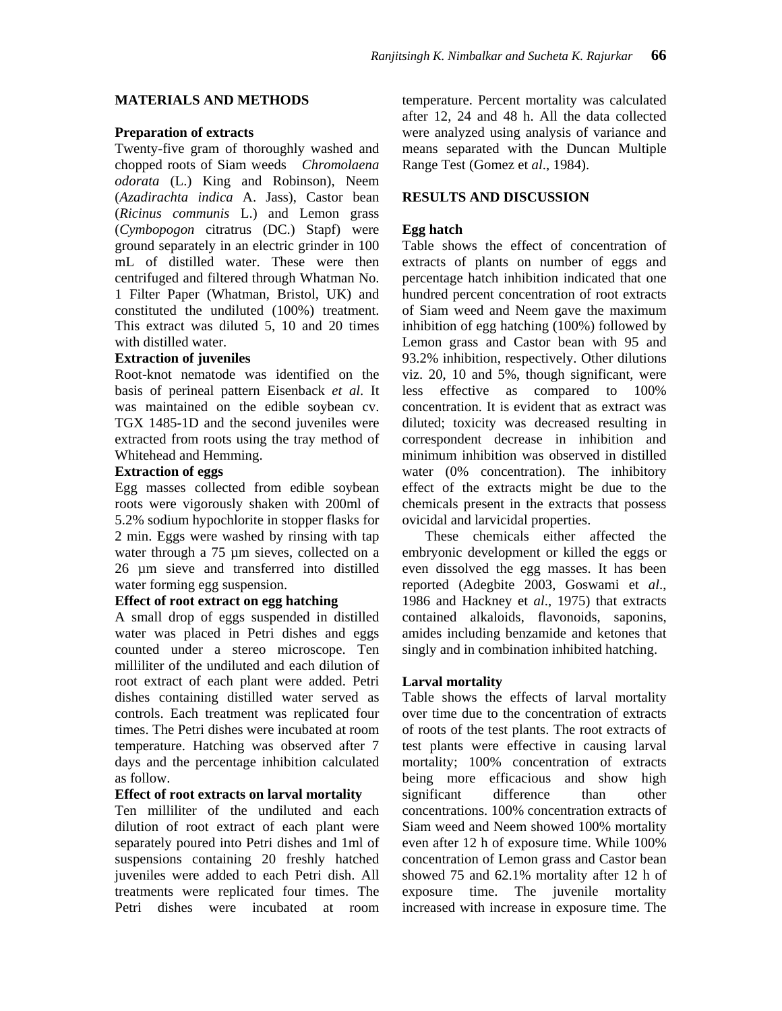#### **MATERIALS AND METHODS**

#### **Preparation of extracts**

Twenty-five gram of thoroughly washed and chopped roots of Siam weeds *Chromolaena odorata* (L.) King and Robinson), Neem (*Azadirachta indica* A. Jass), Castor bean (*Ricinus communis* L.) and Lemon grass (*Cymbopogon* citratrus (DC.) Stapf) were ground separately in an electric grinder in 100 mL of distilled water. These were then centrifuged and filtered through Whatman No. 1 Filter Paper (Whatman, Bristol, UK) and constituted the undiluted (100%) treatment. This extract was diluted 5, 10 and 20 times with distilled water.

#### **Extraction of juveniles**

Root-knot nematode was identified on the basis of perineal pattern Eisenback *et al*. It was maintained on the edible soybean cv. TGX 1485-1D and the second juveniles were extracted from roots using the tray method of Whitehead and Hemming.

#### **Extraction of eggs**

Egg masses collected from edible soybean roots were vigorously shaken with 200ml of 5.2% sodium hypochlorite in stopper flasks for 2 min. Eggs were washed by rinsing with tap water through a 75 µm sieves, collected on a 26 µm sieve and transferred into distilled water forming egg suspension.

#### **Effect of root extract on egg hatching**

A small drop of eggs suspended in distilled water was placed in Petri dishes and eggs counted under a stereo microscope. Ten milliliter of the undiluted and each dilution of root extract of each plant were added. Petri dishes containing distilled water served as controls. Each treatment was replicated four times. The Petri dishes were incubated at room temperature. Hatching was observed after 7 days and the percentage inhibition calculated as follow.

#### **Effect of root extracts on larval mortality**

Ten milliliter of the undiluted and each dilution of root extract of each plant were separately poured into Petri dishes and 1ml of suspensions containing 20 freshly hatched juveniles were added to each Petri dish. All treatments were replicated four times. The Petri dishes were incubated at room

temperature. Percent mortality was calculated after 12, 24 and 48 h. All the data collected were analyzed using analysis of variance and means separated with the Duncan Multiple Range Test (Gomez et *al*., 1984).

## **RESULTS AND DISCUSSION**

#### **Egg hatch**

Table shows the effect of concentration of extracts of plants on number of eggs and percentage hatch inhibition indicated that one hundred percent concentration of root extracts of Siam weed and Neem gave the maximum inhibition of egg hatching (100%) followed by Lemon grass and Castor bean with 95 and 93.2% inhibition, respectively. Other dilutions viz. 20, 10 and 5%, though significant, were less effective as compared to 100% concentration. It is evident that as extract was diluted; toxicity was decreased resulting in correspondent decrease in inhibition and minimum inhibition was observed in distilled water (0% concentration). The inhibitory effect of the extracts might be due to the chemicals present in the extracts that possess ovicidal and larvicidal properties.

These chemicals either affected the embryonic development or killed the eggs or even dissolved the egg masses. It has been reported (Adegbite 2003, Goswami et *al*., 1986 and Hackney et *al*., 1975) that extracts contained alkaloids, flavonoids, saponins, amides including benzamide and ketones that singly and in combination inhibited hatching.

#### **Larval mortality**

Table shows the effects of larval mortality over time due to the concentration of extracts of roots of the test plants. The root extracts of test plants were effective in causing larval mortality; 100% concentration of extracts being more efficacious and show high significant difference than other concentrations. 100% concentration extracts of Siam weed and Neem showed 100% mortality even after 12 h of exposure time. While 100% concentration of Lemon grass and Castor bean showed 75 and 62.1% mortality after 12 h of exposure time. The juvenile mortality increased with increase in exposure time. The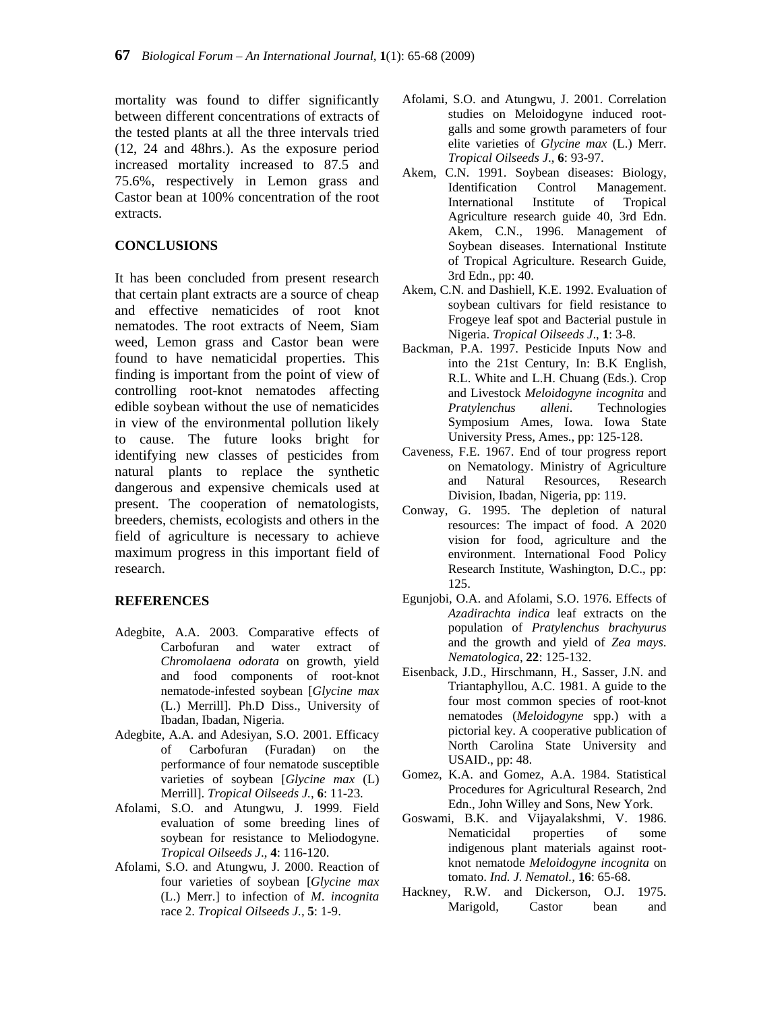mortality was found to differ significantly between different concentrations of extracts of the tested plants at all the three intervals tried (12, 24 and 48hrs.). As the exposure period increased mortality increased to 87.5 and 75.6%, respectively in Lemon grass and Castor bean at 100% concentration of the root extracts.

## **CONCLUSIONS**

It has been concluded from present research that certain plant extracts are a source of cheap and effective nematicides of root knot nematodes. The root extracts of Neem, Siam weed, Lemon grass and Castor bean were found to have nematicidal properties. This finding is important from the point of view of controlling root-knot nematodes affecting edible soybean without the use of nematicides in view of the environmental pollution likely to cause. The future looks bright for identifying new classes of pesticides from natural plants to replace the synthetic dangerous and expensive chemicals used at present. The cooperation of nematologists, breeders, chemists, ecologists and others in the field of agriculture is necessary to achieve maximum progress in this important field of research.

## **REFERENCES**

- Adegbite, A.A. 2003. Comparative effects of Carbofuran and water extract of *Chromolaena odorata* on growth, yield and food components of root-knot nematode-infested soybean [*Glycine max*  (L.) Merrill]. Ph.D Diss., University of Ibadan, Ibadan, Nigeria.
- Adegbite, A.A. and Adesiyan, S.O. 2001. Efficacy of Carbofuran (Furadan) on the performance of four nematode susceptible varieties of soybean [*Glycine max* (L) Merrill]. *Tropical Oilseeds J.*, **6**: 11-23.
- Afolami, S.O. and Atungwu, J. 1999. Field evaluation of some breeding lines of soybean for resistance to Meliodogyne. *Tropical Oilseeds J*., **4**: 116-120.
- Afolami, S.O. and Atungwu, J. 2000. Reaction of four varieties of soybean [*Glycine max*  (L.) Merr.] to infection of *M*. *incognita*  race 2. *Tropical Oilseeds J.,* **5**: 1-9.
- Afolami, S.O. and Atungwu, J. 2001. Correlation studies on Meloidogyne induced rootgalls and some growth parameters of four elite varieties of *Glycine max* (L.) Merr. *Tropical Oilseeds J*., **6**: 93-97.
- Akem, C.N. 1991. Soybean diseases: Biology, Identification Control Management. International Institute of Tropical Agriculture research guide 40, 3rd Edn. Akem, C.N., 1996. Management of Soybean diseases. International Institute of Tropical Agriculture. Research Guide, 3rd Edn., pp: 40.
- Akem, C.N. and Dashiell, K.E. 1992. Evaluation of soybean cultivars for field resistance to Frogeye leaf spot and Bacterial pustule in Nigeria. *Tropical Oilseeds J*., **1**: 3-8.
- Backman, P.A. 1997. Pesticide Inputs Now and into the 21st Century, In: B.K English, R.L. White and L.H. Chuang (Eds.). Crop and Livestock *Meloidogyne incognita* and *Pratylenchus alleni*. Technologies Symposium Ames, Iowa. Iowa State University Press, Ames., pp: 125-128.
- Caveness, F.E. 1967. End of tour progress report on Nematology. Ministry of Agriculture and Natural Resources, Research Division, Ibadan, Nigeria, pp: 119.
- Conway, G. 1995. The depletion of natural resources: The impact of food. A 2020 vision for food, agriculture and the environment. International Food Policy Research Institute, Washington, D.C., pp: 125.
- Egunjobi, O.A. and Afolami, S.O. 1976. Effects of *Azadirachta indica* leaf extracts on the population of *Pratylenchus brachyurus*  and the growth and yield of *Zea mays*. *Nematologica*, **22**: 125-132.
- Eisenback, J.D., Hirschmann, H., Sasser, J.N. and Triantaphyllou, A.C. 1981. A guide to the four most common species of root-knot nematodes (*Meloidogyne* spp.) with a pictorial key. A cooperative publication of North Carolina State University and USAID., pp: 48.
- Gomez, K.A. and Gomez, A.A. 1984. Statistical Procedures for Agricultural Research, 2nd Edn., John Willey and Sons, New York.
- Goswami, B.K. and Vijayalakshmi, V. 1986. Nematicidal properties of some indigenous plant materials against rootknot nematode *Meloidogyne incognita* on tomato. *Ind. J. Nematol.,* **16**: 65-68.
- Hackney, R.W. and Dickerson, O.J. 1975. Marigold, Castor bean and